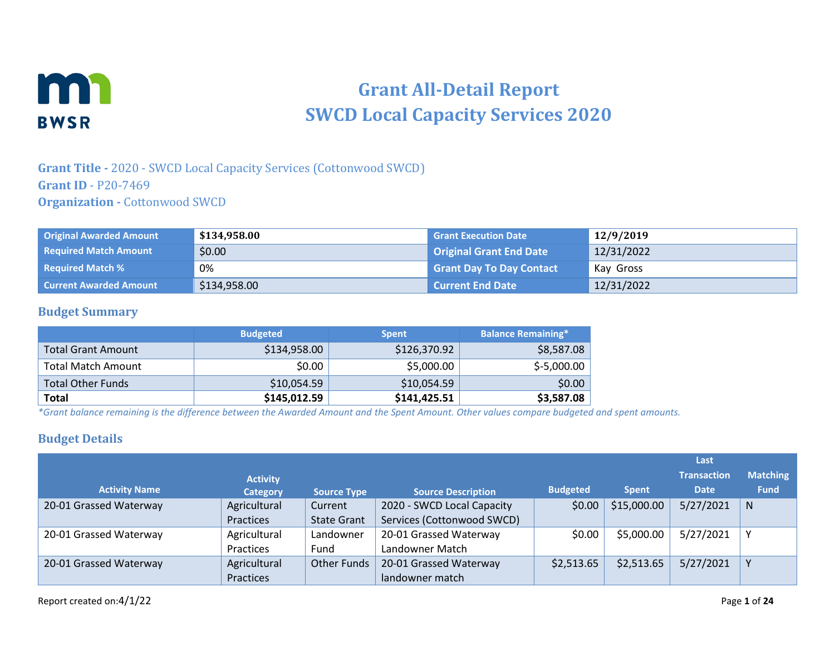

# **Grant All-Detail Report SWCD Local Capacity Services 2020**

#### **Grant Title -** 2020 - SWCD Local Capacity Services (Cottonwood SWCD) **Grant ID** - P20-7469 **Organization -** Cottonwood SWCD

| <b>Original Awarded Amount</b> | \$134,958.00 | <b>Grant Execution Date</b>     | 12/9/2019  |
|--------------------------------|--------------|---------------------------------|------------|
| <b>Required Match Amount</b>   | \$0.00       | <b>Original Grant End Date</b>  | 12/31/2022 |
| <b>Required Match %</b>        | 0%           | <b>Grant Day To Day Contact</b> | Kay Gross  |
| <b>Current Awarded Amount</b>  | \$134,958.00 | <b>Current End Date</b>         | 12/31/2022 |

#### **Budget Summary**

|                           | <b>Budgeted</b> | <b>Spent</b> | <b>Balance Remaining*</b> |
|---------------------------|-----------------|--------------|---------------------------|
| Total Grant Amount        | \$134,958.00    | \$126,370.92 | \$8,587.08                |
| <b>Total Match Amount</b> | \$0.00          | \$5,000.00   | $$-5,000.00$              |
| <b>Total Other Funds</b>  | \$10,054.59     | \$10,054.59  | \$0.00                    |
| <b>Total</b>              | \$145,012.59    | \$141,425.51 | \$3,587.08                |

*\*Grant balance remaining is the difference between the Awarded Amount and the Spent Amount. Other values compare budgeted and spent amounts.*

#### **Budget Details**

|                        |                 |                    |                            |                 |              | Last               |                 |
|------------------------|-----------------|--------------------|----------------------------|-----------------|--------------|--------------------|-----------------|
|                        | <b>Activity</b> |                    |                            |                 |              | <b>Transaction</b> | <b>Matching</b> |
| <b>Activity Name</b>   | <b>Category</b> | <b>Source Type</b> | <b>Source Description</b>  | <b>Budgeted</b> | <b>Spent</b> | <b>Date</b>        | <b>Fund</b>     |
| 20-01 Grassed Waterway | Agricultural    | Current            | 2020 - SWCD Local Capacity | \$0.00          | \$15,000.00  | 5/27/2021          | N               |
|                        | Practices       | <b>State Grant</b> | Services (Cottonwood SWCD) |                 |              |                    |                 |
| 20-01 Grassed Waterway | Agricultural    | Landowner          | 20-01 Grassed Waterway     | \$0.00          | \$5,000.00   | 5/27/2021          |                 |
|                        | Practices       | Fund               | Landowner Match            |                 |              |                    |                 |
| 20-01 Grassed Waterway | Agricultural    | <b>Other Funds</b> | 20-01 Grassed Waterway     | \$2,513.65      | \$2,513.65   | 5/27/2021          | ν               |
|                        | Practices       |                    | landowner match            |                 |              |                    |                 |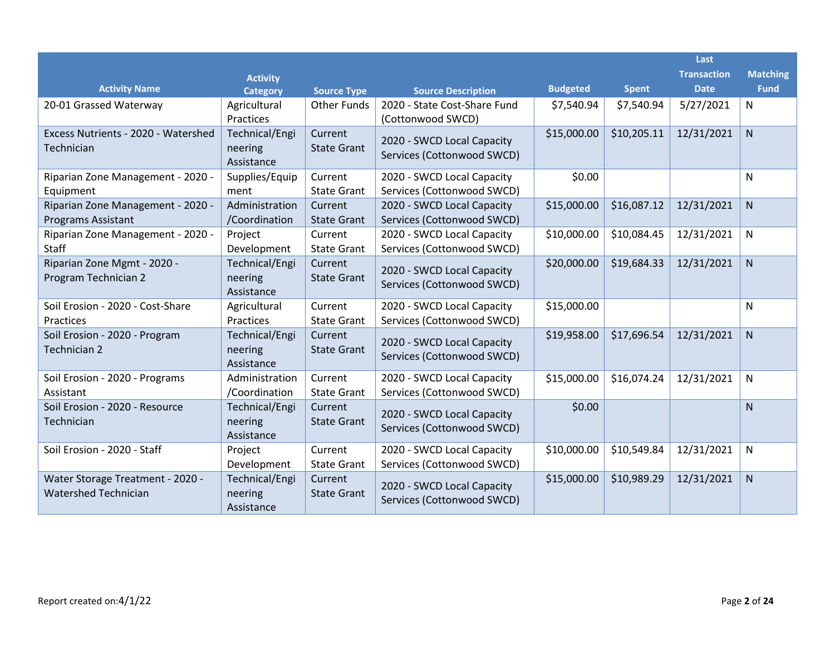|                                                                 |                                         |                                          |                                                           |                 |                            | Last                              |                                |
|-----------------------------------------------------------------|-----------------------------------------|------------------------------------------|-----------------------------------------------------------|-----------------|----------------------------|-----------------------------------|--------------------------------|
| <b>Activity Name</b>                                            | <b>Activity</b>                         |                                          |                                                           | <b>Budgeted</b> |                            | <b>Transaction</b><br><b>Date</b> | <b>Matching</b><br><b>Fund</b> |
| 20-01 Grassed Waterway                                          | <b>Category</b><br>Agricultural         | <b>Source Type</b><br><b>Other Funds</b> | <b>Source Description</b><br>2020 - State Cost-Share Fund | \$7,540.94      | <b>Spent</b><br>\$7,540.94 | 5/27/2021                         | $\mathsf{N}$                   |
|                                                                 | Practices                               |                                          | (Cottonwood SWCD)                                         |                 |                            |                                   |                                |
| Excess Nutrients - 2020 - Watershed<br>Technician               | Technical/Engi<br>neering<br>Assistance | Current<br><b>State Grant</b>            | 2020 - SWCD Local Capacity<br>Services (Cottonwood SWCD)  | \$15,000.00     | \$10,205.11                | 12/31/2021                        | $\mathsf{N}$                   |
| Riparian Zone Management - 2020 -<br>Equipment                  | Supplies/Equip<br>ment                  | Current<br><b>State Grant</b>            | 2020 - SWCD Local Capacity<br>Services (Cottonwood SWCD)  | \$0.00          |                            |                                   | N                              |
| Riparian Zone Management - 2020 -<br><b>Programs Assistant</b>  | Administration<br>/Coordination         | Current<br><b>State Grant</b>            | 2020 - SWCD Local Capacity<br>Services (Cottonwood SWCD)  | \$15,000.00     | \$16,087.12                | 12/31/2021                        | $\mathsf{N}$                   |
| Riparian Zone Management - 2020 -<br>Staff                      | Project<br>Development                  | Current<br><b>State Grant</b>            | 2020 - SWCD Local Capacity<br>Services (Cottonwood SWCD)  | \$10,000.00     | \$10,084.45                | 12/31/2021                        | N                              |
| Riparian Zone Mgmt - 2020 -<br>Program Technician 2             | Technical/Engi<br>neering<br>Assistance | Current<br><b>State Grant</b>            | 2020 - SWCD Local Capacity<br>Services (Cottonwood SWCD)  | \$20,000.00     | \$19,684.33                | 12/31/2021                        | $\mathsf{N}$                   |
| Soil Erosion - 2020 - Cost-Share<br>Practices                   | Agricultural<br>Practices               | Current<br><b>State Grant</b>            | 2020 - SWCD Local Capacity<br>Services (Cottonwood SWCD)  | \$15,000.00     |                            |                                   | N                              |
| Soil Erosion - 2020 - Program<br>Technician 2                   | Technical/Engi<br>neering<br>Assistance | Current<br><b>State Grant</b>            | 2020 - SWCD Local Capacity<br>Services (Cottonwood SWCD)  | \$19,958.00     | \$17,696.54                | 12/31/2021                        | $\overline{N}$                 |
| Soil Erosion - 2020 - Programs<br>Assistant                     | Administration<br>/Coordination         | Current<br><b>State Grant</b>            | 2020 - SWCD Local Capacity<br>Services (Cottonwood SWCD)  | \$15,000.00     | \$16,074.24                | 12/31/2021                        | $\mathsf{N}$                   |
| Soil Erosion - 2020 - Resource<br>Technician                    | Technical/Engi<br>neering<br>Assistance | Current<br><b>State Grant</b>            | 2020 - SWCD Local Capacity<br>Services (Cottonwood SWCD)  | \$0.00          |                            |                                   | N.                             |
| Soil Erosion - 2020 - Staff                                     | Project<br>Development                  | Current<br><b>State Grant</b>            | 2020 - SWCD Local Capacity<br>Services (Cottonwood SWCD)  | \$10,000.00     | \$10,549.84                | 12/31/2021                        | N                              |
| Water Storage Treatment - 2020 -<br><b>Watershed Technician</b> | Technical/Engi<br>neering<br>Assistance | Current<br><b>State Grant</b>            | 2020 - SWCD Local Capacity<br>Services (Cottonwood SWCD)  | \$15,000.00     | \$10,989.29                | 12/31/2021                        | N <sub>1</sub>                 |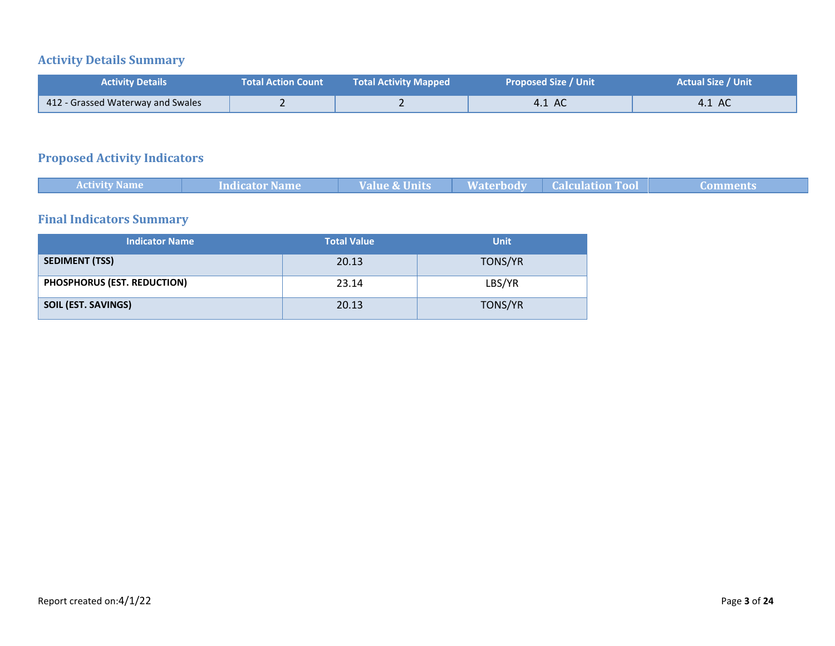# **Activity Details Summary**

| <b>Activity Details</b>           | <b>Total Action Count</b> | <b>Total Activity Mapped</b> | <b>Proposed Size / Unit</b> | <b>Actual Size / Unit</b> |
|-----------------------------------|---------------------------|------------------------------|-----------------------------|---------------------------|
| 412 - Grassed Waterway and Swales |                           |                              | 4.1 AC                      | 4.1 AC                    |

# **Proposed Activity Indicators**

|  | <b>Activity Name</b> | <b>Indicator Name</b> | <b>Value &amp; Units</b> | Waterbody | <b>Calculation Tool</b> |  |  |
|--|----------------------|-----------------------|--------------------------|-----------|-------------------------|--|--|
|--|----------------------|-----------------------|--------------------------|-----------|-------------------------|--|--|

# **Final Indicators Summary**

| <b>Indicator Name</b>       | <b>Total Value</b> | <b>Unit</b> |
|-----------------------------|--------------------|-------------|
| <b>SEDIMENT (TSS)</b>       | 20.13              | TONS/YR     |
| PHOSPHORUS (EST. REDUCTION) | 23.14              | LBS/YR      |
| SOIL (EST. SAVINGS)         | 20.13              | TONS/YR     |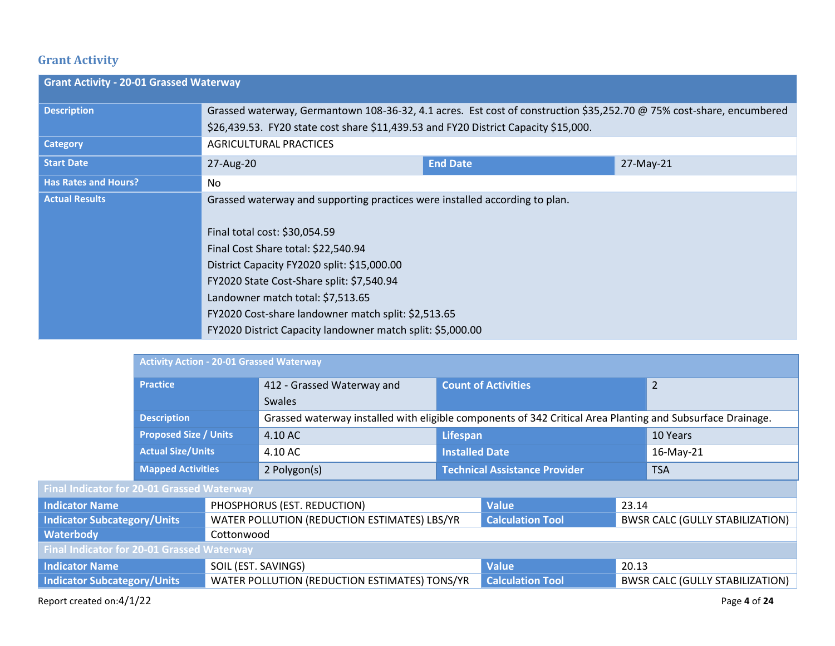# **Grant Activity**

| <b>Grant Activity - 20-01 Grassed Waterway</b> |                                                                                                                                                                                                                                                                                                                                                                                                           |                 |           |
|------------------------------------------------|-----------------------------------------------------------------------------------------------------------------------------------------------------------------------------------------------------------------------------------------------------------------------------------------------------------------------------------------------------------------------------------------------------------|-----------------|-----------|
| <b>Description</b>                             | Grassed waterway, Germantown 108-36-32, 4.1 acres. Est cost of construction \$35,252.70 @ 75% cost-share, encumbered<br>\$26,439.53. FY20 state cost share \$11,439.53 and FY20 District Capacity \$15,000.                                                                                                                                                                                               |                 |           |
| <b>Category</b>                                | AGRICULTURAL PRACTICES                                                                                                                                                                                                                                                                                                                                                                                    |                 |           |
| <b>Start Date</b>                              | 27-Aug-20                                                                                                                                                                                                                                                                                                                                                                                                 | <b>End Date</b> | 27-May-21 |
| <b>Has Rates and Hours?</b>                    | No.                                                                                                                                                                                                                                                                                                                                                                                                       |                 |           |
| <b>Actual Results</b>                          | Grassed waterway and supporting practices were installed according to plan.<br>Final total cost: \$30,054.59<br>Final Cost Share total: \$22,540.94<br>District Capacity FY2020 split: \$15,000.00<br>FY2020 State Cost-Share split: \$7,540.94<br>Landowner match total: \$7,513.65<br>FY2020 Cost-share landowner match split: \$2,513.65<br>FY2020 District Capacity landowner match split: \$5,000.00 |                 |           |

|                                            | <b>Activity Action - 20-01 Grassed Waterway</b> |  |                                                                                                            |                       |                                      |       |                |
|--------------------------------------------|-------------------------------------------------|--|------------------------------------------------------------------------------------------------------------|-----------------------|--------------------------------------|-------|----------------|
|                                            | <b>Practice</b>                                 |  | 412 - Grassed Waterway and                                                                                 |                       | <b>Count of Activities</b>           |       | $\overline{2}$ |
|                                            |                                                 |  | <b>Swales</b>                                                                                              |                       |                                      |       |                |
|                                            | <b>Description</b>                              |  | Grassed waterway installed with eligible components of 342 Critical Area Planting and Subsurface Drainage. |                       |                                      |       |                |
|                                            | <b>Proposed Size / Units</b>                    |  | 4.10 AC                                                                                                    | Lifespan              |                                      |       | 10 Years       |
|                                            | <b>Actual Size/Units</b>                        |  | 4.10 AC                                                                                                    | <b>Installed Date</b> |                                      |       | 16-May-21      |
|                                            | <b>Mapped Activities</b>                        |  | 2 Polygon(s)                                                                                               |                       | <b>Technical Assistance Provider</b> |       | <b>TSA</b>     |
| Final Indicator for 20-01 Grassed Waterway |                                                 |  |                                                                                                            |                       |                                      |       |                |
| <b>Indicator Name</b>                      |                                                 |  | PHOSPHORUS (EST. REDUCTION)                                                                                |                       | <b>Value</b>                         | 23.14 |                |

| Indicator Name                                    | PHOSPHORUS (EST. REDUCTION)                   | <b>Nalue</b>            | 23.14                                  |
|---------------------------------------------------|-----------------------------------------------|-------------------------|----------------------------------------|
| Indicator Subcategory/Units                       | WATER POLLUTION (REDUCTION ESTIMATES) LBS/YR  | <b>Calculation Tool</b> | <b>BWSR CALC (GULLY STABILIZATION)</b> |
| <b>Waterbody</b>                                  | Cottonwood                                    |                         |                                        |
| <b>Final Indicator for 20-01 Grassed Waterway</b> |                                               |                         |                                        |
| Indicator Name                                    | SOIL (EST. SAVINGS)                           | <b>Value</b>            | 20.13                                  |
| Indicator Subcategory/Units                       | WATER POLLUTION (REDUCTION ESTIMATES) TONS/YR | <b>Calculation Tool</b> | <b>BWSR CALC (GULLY STABILIZATION)</b> |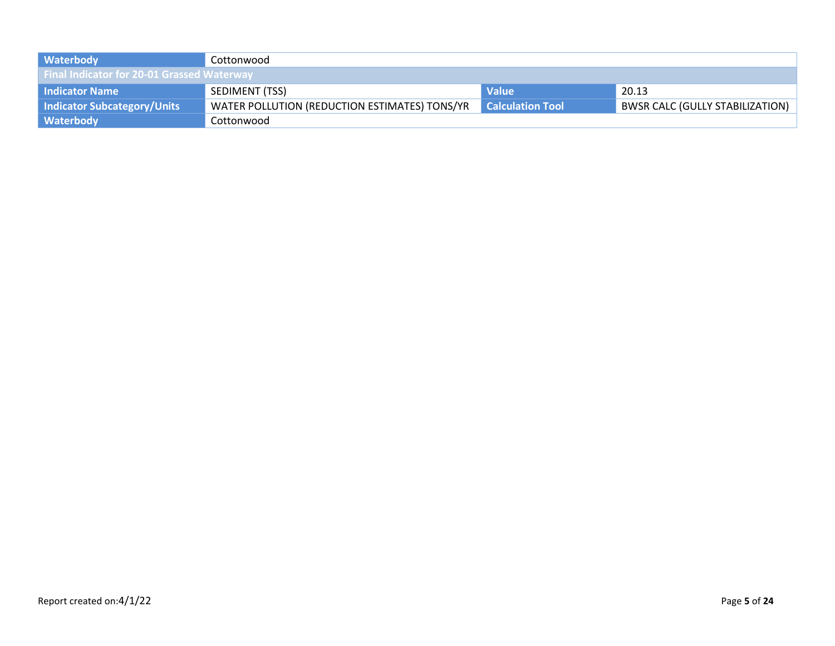| <b>Waterbody</b>                                  | Cottonwood                                    |                         |                                        |
|---------------------------------------------------|-----------------------------------------------|-------------------------|----------------------------------------|
| <b>Final Indicator for 20-01 Grassed Waterway</b> |                                               |                         |                                        |
| Indicator Name                                    | SEDIMENT (TSS)                                | <b>Value</b>            | 20.13                                  |
| Indicator Subcategory/Units                       | WATER POLLUTION (REDUCTION ESTIMATES) TONS/YR | <b>Calculation Tool</b> | <b>BWSR CALC (GULLY STABILIZATION)</b> |
| <b>Waterbody</b>                                  | Cottonwood                                    |                         |                                        |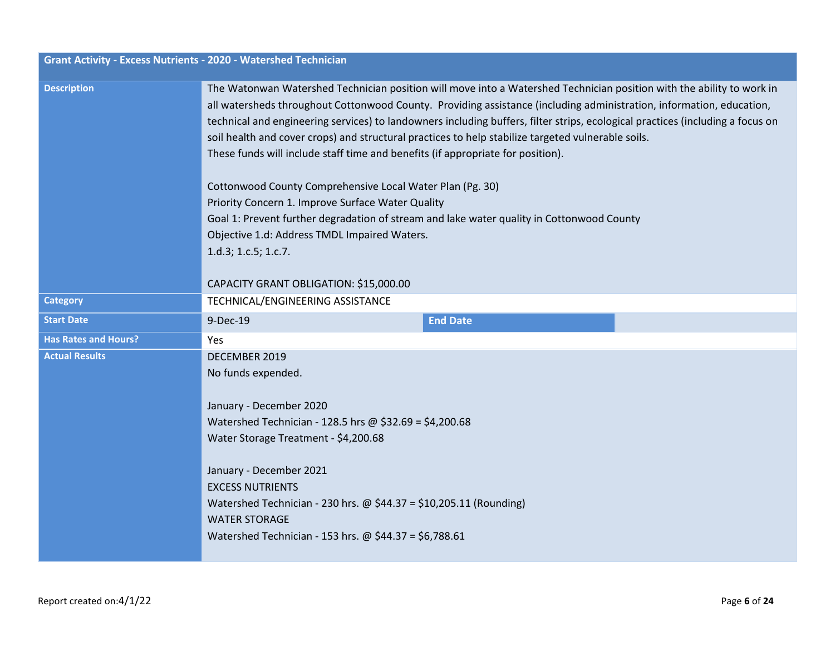| <b>Grant Activity - Excess Nutrients - 2020 - Watershed Technician</b> |                                                                                                                                                                                                                                                                                                                                                                                                                                                                                                                                                                                                                                                                                                                                                                                                                                                                 |
|------------------------------------------------------------------------|-----------------------------------------------------------------------------------------------------------------------------------------------------------------------------------------------------------------------------------------------------------------------------------------------------------------------------------------------------------------------------------------------------------------------------------------------------------------------------------------------------------------------------------------------------------------------------------------------------------------------------------------------------------------------------------------------------------------------------------------------------------------------------------------------------------------------------------------------------------------|
| <b>Description</b>                                                     | The Watonwan Watershed Technician position will move into a Watershed Technician position with the ability to work in<br>all watersheds throughout Cottonwood County. Providing assistance (including administration, information, education,<br>technical and engineering services) to landowners including buffers, filter strips, ecological practices (including a focus on<br>soil health and cover crops) and structural practices to help stabilize targeted vulnerable soils.<br>These funds will include staff time and benefits (if appropriate for position).<br>Cottonwood County Comprehensive Local Water Plan (Pg. 30)<br>Priority Concern 1. Improve Surface Water Quality<br>Goal 1: Prevent further degradation of stream and lake water quality in Cottonwood County<br>Objective 1.d: Address TMDL Impaired Waters.<br>1.d.3; 1.c.5; 1.c.7. |
| <b>Category</b>                                                        | CAPACITY GRANT OBLIGATION: \$15,000.00<br>TECHNICAL/ENGINEERING ASSISTANCE                                                                                                                                                                                                                                                                                                                                                                                                                                                                                                                                                                                                                                                                                                                                                                                      |
|                                                                        |                                                                                                                                                                                                                                                                                                                                                                                                                                                                                                                                                                                                                                                                                                                                                                                                                                                                 |
| <b>Start Date</b>                                                      | <b>End Date</b><br>9-Dec-19                                                                                                                                                                                                                                                                                                                                                                                                                                                                                                                                                                                                                                                                                                                                                                                                                                     |
| <b>Has Rates and Hours?</b>                                            | <b>Yes</b>                                                                                                                                                                                                                                                                                                                                                                                                                                                                                                                                                                                                                                                                                                                                                                                                                                                      |
| <b>Actual Results</b>                                                  | DECEMBER 2019<br>No funds expended.<br>January - December 2020<br>Watershed Technician - 128.5 hrs @ \$32.69 = \$4,200.68<br>Water Storage Treatment - \$4,200.68<br>January - December 2021<br><b>EXCESS NUTRIENTS</b><br>Watershed Technician - 230 hrs. $\omega$ \$44.37 = \$10,205.11 (Rounding)<br><b>WATER STORAGE</b><br>Watershed Technician - 153 hrs. @ \$44.37 = \$6,788.61                                                                                                                                                                                                                                                                                                                                                                                                                                                                          |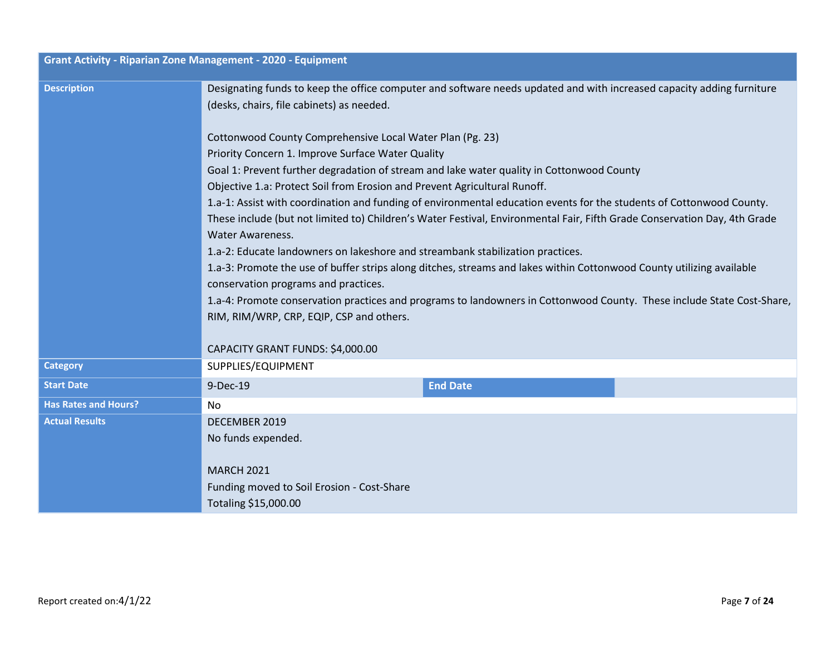| <b>Description</b>          | Designating funds to keep the office computer and software needs updated and with increased capacity adding furniture<br>(desks, chairs, file cabinets) as needed.                                                                                                                                                                                                                                                                                                                                                                                                                                                                                                                                                                                                                                                                                                                                                                                                                                                                    |                 |  |
|-----------------------------|---------------------------------------------------------------------------------------------------------------------------------------------------------------------------------------------------------------------------------------------------------------------------------------------------------------------------------------------------------------------------------------------------------------------------------------------------------------------------------------------------------------------------------------------------------------------------------------------------------------------------------------------------------------------------------------------------------------------------------------------------------------------------------------------------------------------------------------------------------------------------------------------------------------------------------------------------------------------------------------------------------------------------------------|-----------------|--|
|                             | Cottonwood County Comprehensive Local Water Plan (Pg. 23)<br>Priority Concern 1. Improve Surface Water Quality<br>Goal 1: Prevent further degradation of stream and lake water quality in Cottonwood County<br>Objective 1.a: Protect Soil from Erosion and Prevent Agricultural Runoff.<br>1.a-1: Assist with coordination and funding of environmental education events for the students of Cottonwood County.<br>These include (but not limited to) Children's Water Festival, Environmental Fair, Fifth Grade Conservation Day, 4th Grade<br><b>Water Awareness.</b><br>1.a-2: Educate landowners on lakeshore and streambank stabilization practices.<br>1.a-3: Promote the use of buffer strips along ditches, streams and lakes within Cottonwood County utilizing available<br>conservation programs and practices.<br>1.a-4: Promote conservation practices and programs to landowners in Cottonwood County. These include State Cost-Share,<br>RIM, RIM/WRP, CRP, EQIP, CSP and others.<br>CAPACITY GRANT FUNDS: \$4,000.00 |                 |  |
| <b>Category</b>             | SUPPLIES/EQUIPMENT                                                                                                                                                                                                                                                                                                                                                                                                                                                                                                                                                                                                                                                                                                                                                                                                                                                                                                                                                                                                                    |                 |  |
| <b>Start Date</b>           | 9-Dec-19                                                                                                                                                                                                                                                                                                                                                                                                                                                                                                                                                                                                                                                                                                                                                                                                                                                                                                                                                                                                                              | <b>End Date</b> |  |
| <b>Has Rates and Hours?</b> | No                                                                                                                                                                                                                                                                                                                                                                                                                                                                                                                                                                                                                                                                                                                                                                                                                                                                                                                                                                                                                                    |                 |  |
| <b>Actual Results</b>       | DECEMBER 2019<br>No funds expended.<br><b>MARCH 2021</b><br>Funding moved to Soil Erosion - Cost-Share<br>Totaling \$15,000.00                                                                                                                                                                                                                                                                                                                                                                                                                                                                                                                                                                                                                                                                                                                                                                                                                                                                                                        |                 |  |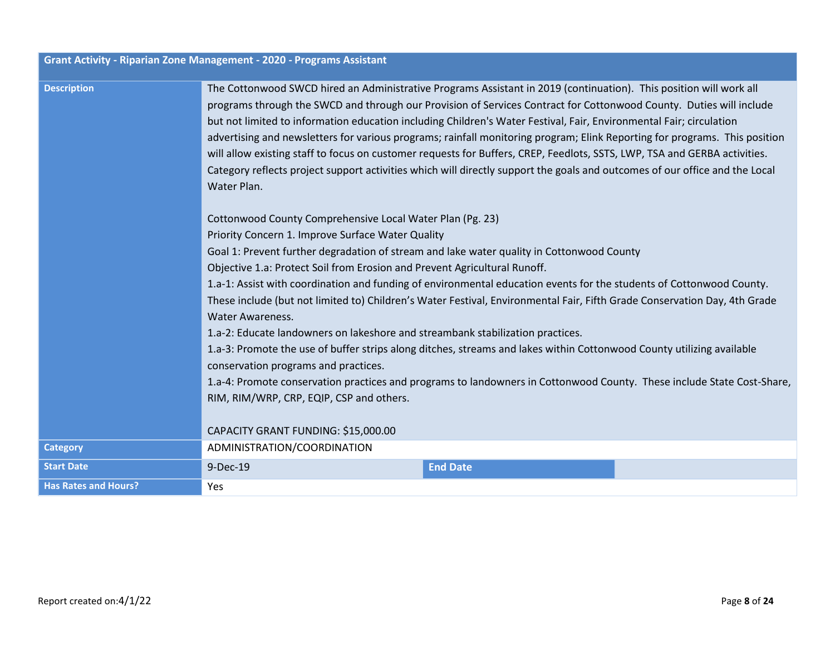|                             | <b>Grant Activity - Riparian Zone Management - 2020 - Programs Assistant</b>                                                                                                                                                                                                                                                                                                                                                                                                                                                                                                                                                                                                                                                                                                                                                           |                 |  |
|-----------------------------|----------------------------------------------------------------------------------------------------------------------------------------------------------------------------------------------------------------------------------------------------------------------------------------------------------------------------------------------------------------------------------------------------------------------------------------------------------------------------------------------------------------------------------------------------------------------------------------------------------------------------------------------------------------------------------------------------------------------------------------------------------------------------------------------------------------------------------------|-----------------|--|
| <b>Description</b>          | The Cottonwood SWCD hired an Administrative Programs Assistant in 2019 (continuation). This position will work all<br>programs through the SWCD and through our Provision of Services Contract for Cottonwood County. Duties will include<br>but not limited to information education including Children's Water Festival, Fair, Environmental Fair; circulation<br>advertising and newsletters for various programs; rainfall monitoring program; Elink Reporting for programs. This position<br>will allow existing staff to focus on customer requests for Buffers, CREP, Feedlots, SSTS, LWP, TSA and GERBA activities.<br>Category reflects project support activities which will directly support the goals and outcomes of our office and the Local<br>Water Plan.<br>Cottonwood County Comprehensive Local Water Plan (Pg. 23) |                 |  |
|                             | Priority Concern 1. Improve Surface Water Quality                                                                                                                                                                                                                                                                                                                                                                                                                                                                                                                                                                                                                                                                                                                                                                                      |                 |  |
|                             | Goal 1: Prevent further degradation of stream and lake water quality in Cottonwood County<br>Objective 1.a: Protect Soil from Erosion and Prevent Agricultural Runoff.                                                                                                                                                                                                                                                                                                                                                                                                                                                                                                                                                                                                                                                                 |                 |  |
|                             | 1.a-1: Assist with coordination and funding of environmental education events for the students of Cottonwood County.                                                                                                                                                                                                                                                                                                                                                                                                                                                                                                                                                                                                                                                                                                                   |                 |  |
|                             | These include (but not limited to) Children's Water Festival, Environmental Fair, Fifth Grade Conservation Day, 4th Grade<br><b>Water Awareness.</b>                                                                                                                                                                                                                                                                                                                                                                                                                                                                                                                                                                                                                                                                                   |                 |  |
|                             | 1.a-2: Educate landowners on lakeshore and streambank stabilization practices.                                                                                                                                                                                                                                                                                                                                                                                                                                                                                                                                                                                                                                                                                                                                                         |                 |  |
|                             | 1.a-3: Promote the use of buffer strips along ditches, streams and lakes within Cottonwood County utilizing available<br>conservation programs and practices.                                                                                                                                                                                                                                                                                                                                                                                                                                                                                                                                                                                                                                                                          |                 |  |
|                             | 1.a-4: Promote conservation practices and programs to landowners in Cottonwood County. These include State Cost-Share,<br>RIM, RIM/WRP, CRP, EQIP, CSP and others.                                                                                                                                                                                                                                                                                                                                                                                                                                                                                                                                                                                                                                                                     |                 |  |
|                             | CAPACITY GRANT FUNDING: \$15,000.00                                                                                                                                                                                                                                                                                                                                                                                                                                                                                                                                                                                                                                                                                                                                                                                                    |                 |  |
| <b>Category</b>             | ADMINISTRATION/COORDINATION                                                                                                                                                                                                                                                                                                                                                                                                                                                                                                                                                                                                                                                                                                                                                                                                            |                 |  |
| <b>Start Date</b>           | 9-Dec-19                                                                                                                                                                                                                                                                                                                                                                                                                                                                                                                                                                                                                                                                                                                                                                                                                               | <b>End Date</b> |  |
| <b>Has Rates and Hours?</b> | Yes                                                                                                                                                                                                                                                                                                                                                                                                                                                                                                                                                                                                                                                                                                                                                                                                                                    |                 |  |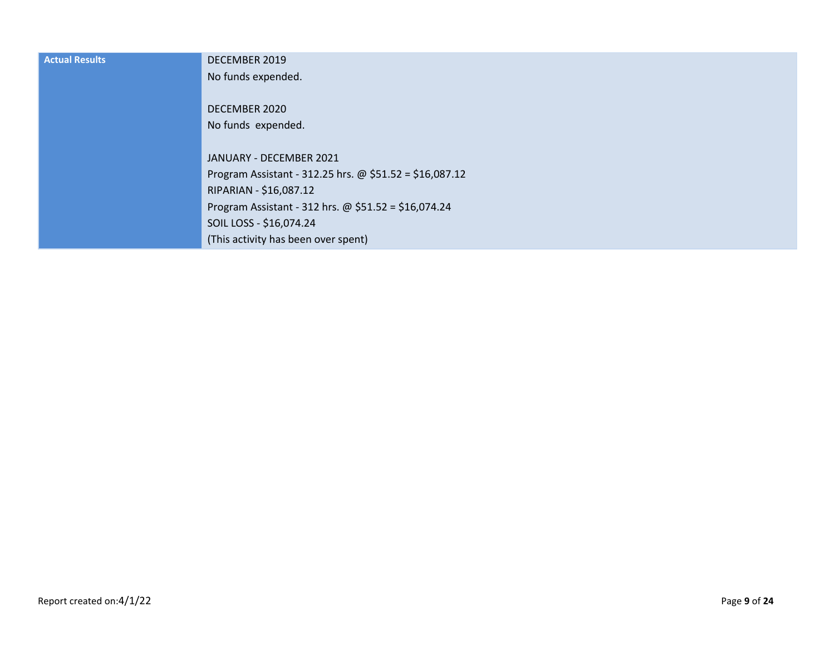| <b>Actual Results</b> | DECEMBER 2019                                           |
|-----------------------|---------------------------------------------------------|
|                       | No funds expended.                                      |
|                       | DECEMBER 2020                                           |
|                       | No funds expended.                                      |
|                       |                                                         |
|                       | JANUARY - DECEMBER 2021                                 |
|                       | Program Assistant - 312.25 hrs. @ \$51.52 = \$16,087.12 |
|                       | RIPARIAN - \$16,087.12                                  |
|                       | Program Assistant - 312 hrs. @ $$51.52 = $16,074.24$    |
|                       | SOIL LOSS - \$16,074.24                                 |
|                       | (This activity has been over spent)                     |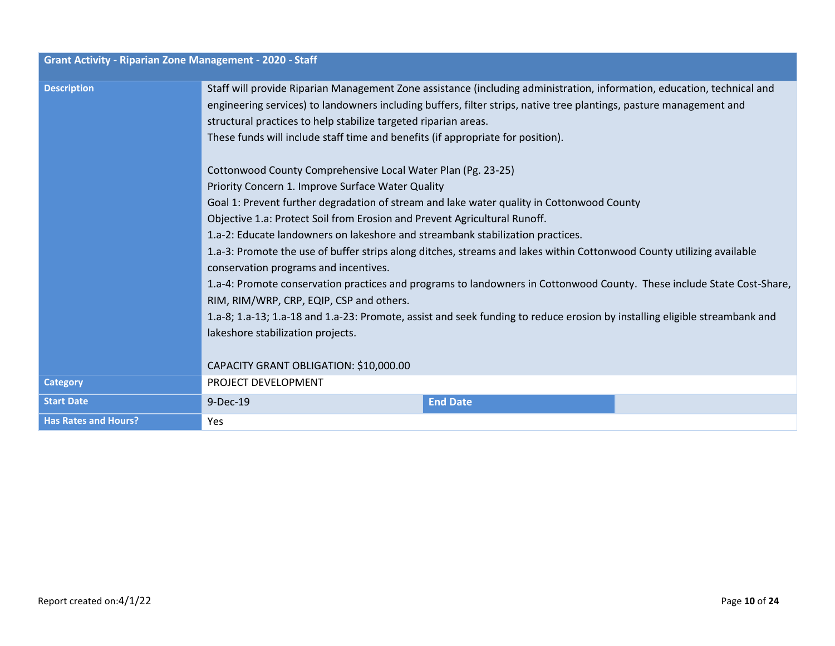| <b>Grant Activity - Riparian Zone Management - 2020 - Staff</b> |                                                                                                                                                                                                                                                                                                                                                                                                                                                                                                                                                                                                                                                                                                                                                                                                                                                                                                                                                                                                                                                                                                                                                                                                                                                                                                                                            |                 |  |
|-----------------------------------------------------------------|--------------------------------------------------------------------------------------------------------------------------------------------------------------------------------------------------------------------------------------------------------------------------------------------------------------------------------------------------------------------------------------------------------------------------------------------------------------------------------------------------------------------------------------------------------------------------------------------------------------------------------------------------------------------------------------------------------------------------------------------------------------------------------------------------------------------------------------------------------------------------------------------------------------------------------------------------------------------------------------------------------------------------------------------------------------------------------------------------------------------------------------------------------------------------------------------------------------------------------------------------------------------------------------------------------------------------------------------|-----------------|--|
| <b>Description</b>                                              | Staff will provide Riparian Management Zone assistance (including administration, information, education, technical and<br>engineering services) to landowners including buffers, filter strips, native tree plantings, pasture management and<br>structural practices to help stabilize targeted riparian areas.<br>These funds will include staff time and benefits (if appropriate for position).<br>Cottonwood County Comprehensive Local Water Plan (Pg. 23-25)<br>Priority Concern 1. Improve Surface Water Quality<br>Goal 1: Prevent further degradation of stream and lake water quality in Cottonwood County<br>Objective 1.a: Protect Soil from Erosion and Prevent Agricultural Runoff.<br>1.a-2: Educate landowners on lakeshore and streambank stabilization practices.<br>1.a-3: Promote the use of buffer strips along ditches, streams and lakes within Cottonwood County utilizing available<br>conservation programs and incentives.<br>1.a-4: Promote conservation practices and programs to landowners in Cottonwood County. These include State Cost-Share,<br>RIM, RIM/WRP, CRP, EQIP, CSP and others.<br>1.a-8; 1.a-13; 1.a-18 and 1.a-23: Promote, assist and seek funding to reduce erosion by installing eligible streambank and<br>lakeshore stabilization projects.<br>CAPACITY GRANT OBLIGATION: \$10,000.00 |                 |  |
| <b>Category</b>                                                 | PROJECT DEVELOPMENT                                                                                                                                                                                                                                                                                                                                                                                                                                                                                                                                                                                                                                                                                                                                                                                                                                                                                                                                                                                                                                                                                                                                                                                                                                                                                                                        |                 |  |
| <b>Start Date</b>                                               | 9-Dec-19                                                                                                                                                                                                                                                                                                                                                                                                                                                                                                                                                                                                                                                                                                                                                                                                                                                                                                                                                                                                                                                                                                                                                                                                                                                                                                                                   | <b>End Date</b> |  |
| <b>Has Rates and Hours?</b>                                     | Yes                                                                                                                                                                                                                                                                                                                                                                                                                                                                                                                                                                                                                                                                                                                                                                                                                                                                                                                                                                                                                                                                                                                                                                                                                                                                                                                                        |                 |  |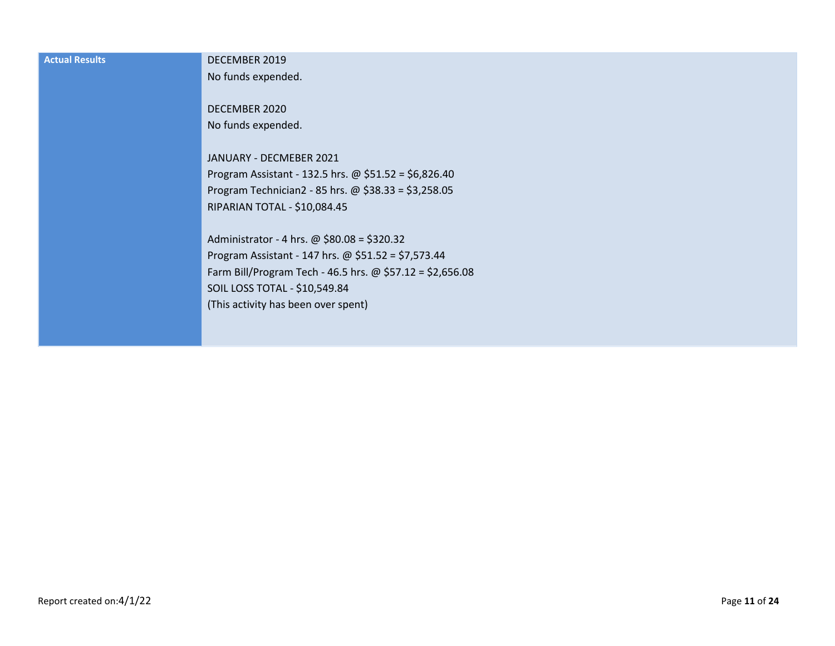| <b>Actual Results</b> | DECEMBER 2019                                             |
|-----------------------|-----------------------------------------------------------|
|                       | No funds expended.                                        |
|                       |                                                           |
|                       | DECEMBER 2020                                             |
|                       | No funds expended.                                        |
|                       |                                                           |
|                       | JANUARY - DECMEBER 2021                                   |
|                       | Program Assistant - 132.5 hrs. @ $$51.52 = $6,826.40$     |
|                       | Program Technician2 - 85 hrs. @ \$38.33 = \$3,258.05      |
|                       | RIPARIAN TOTAL - \$10,084.45                              |
|                       |                                                           |
|                       | Administrator - 4 hrs. @ \$80.08 = \$320.32               |
|                       | Program Assistant - 147 hrs. @ $$51.52 = $7,573.44$       |
|                       | Farm Bill/Program Tech - 46.5 hrs. @ \$57.12 = \$2,656.08 |
|                       | SOIL LOSS TOTAL - \$10,549.84                             |
|                       | (This activity has been over spent)                       |
|                       |                                                           |
|                       |                                                           |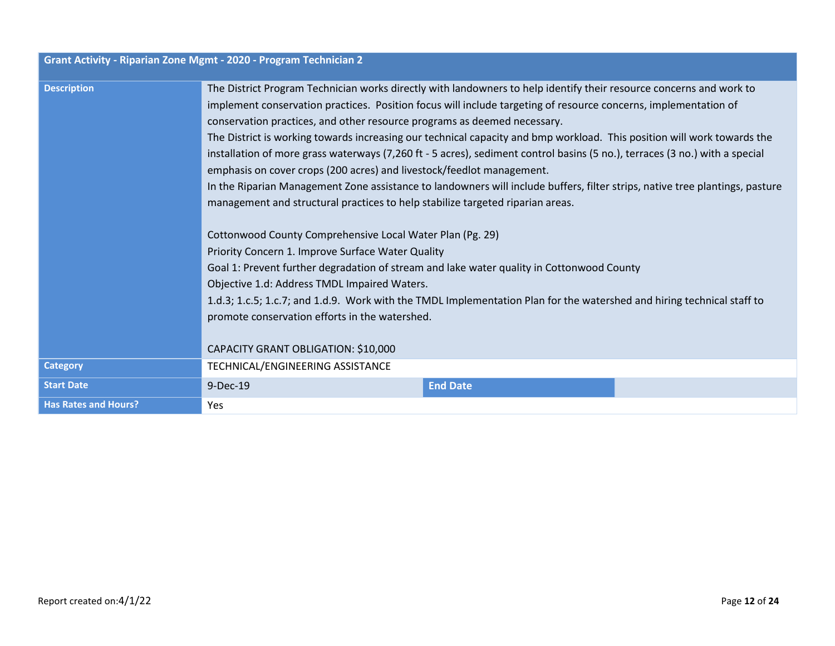| <b>Grant Activity - Riparian Zone Mgmt - 2020 - Program Technician 2</b> |                                                                                                                                                                                                                                                                                                                                                                                                                                                                                                                                                                                                                                                                                                                                                                                                                                                                                                                                                                                                                                                                                                                                                                                                                                                                                                                    |                 |  |
|--------------------------------------------------------------------------|--------------------------------------------------------------------------------------------------------------------------------------------------------------------------------------------------------------------------------------------------------------------------------------------------------------------------------------------------------------------------------------------------------------------------------------------------------------------------------------------------------------------------------------------------------------------------------------------------------------------------------------------------------------------------------------------------------------------------------------------------------------------------------------------------------------------------------------------------------------------------------------------------------------------------------------------------------------------------------------------------------------------------------------------------------------------------------------------------------------------------------------------------------------------------------------------------------------------------------------------------------------------------------------------------------------------|-----------------|--|
| <b>Description</b>                                                       | The District Program Technician works directly with landowners to help identify their resource concerns and work to<br>implement conservation practices. Position focus will include targeting of resource concerns, implementation of<br>conservation practices, and other resource programs as deemed necessary.<br>The District is working towards increasing our technical capacity and bmp workload. This position will work towards the<br>installation of more grass waterways (7,260 ft - 5 acres), sediment control basins (5 no.), terraces (3 no.) with a special<br>emphasis on cover crops (200 acres) and livestock/feedlot management.<br>In the Riparian Management Zone assistance to landowners will include buffers, filter strips, native tree plantings, pasture<br>management and structural practices to help stabilize targeted riparian areas.<br>Cottonwood County Comprehensive Local Water Plan (Pg. 29)<br>Priority Concern 1. Improve Surface Water Quality<br>Goal 1: Prevent further degradation of stream and lake water quality in Cottonwood County<br>Objective 1.d: Address TMDL Impaired Waters.<br>1.d.3; 1.c.5; 1.c.7; and 1.d.9. Work with the TMDL Implementation Plan for the watershed and hiring technical staff to<br>promote conservation efforts in the watershed. |                 |  |
|                                                                          | CAPACITY GRANT OBLIGATION: \$10,000                                                                                                                                                                                                                                                                                                                                                                                                                                                                                                                                                                                                                                                                                                                                                                                                                                                                                                                                                                                                                                                                                                                                                                                                                                                                                |                 |  |
| <b>Category</b>                                                          | TECHNICAL/ENGINEERING ASSISTANCE                                                                                                                                                                                                                                                                                                                                                                                                                                                                                                                                                                                                                                                                                                                                                                                                                                                                                                                                                                                                                                                                                                                                                                                                                                                                                   |                 |  |
| <b>Start Date</b>                                                        | 9-Dec-19                                                                                                                                                                                                                                                                                                                                                                                                                                                                                                                                                                                                                                                                                                                                                                                                                                                                                                                                                                                                                                                                                                                                                                                                                                                                                                           | <b>End Date</b> |  |
| <b>Has Rates and Hours?</b>                                              | Yes                                                                                                                                                                                                                                                                                                                                                                                                                                                                                                                                                                                                                                                                                                                                                                                                                                                                                                                                                                                                                                                                                                                                                                                                                                                                                                                |                 |  |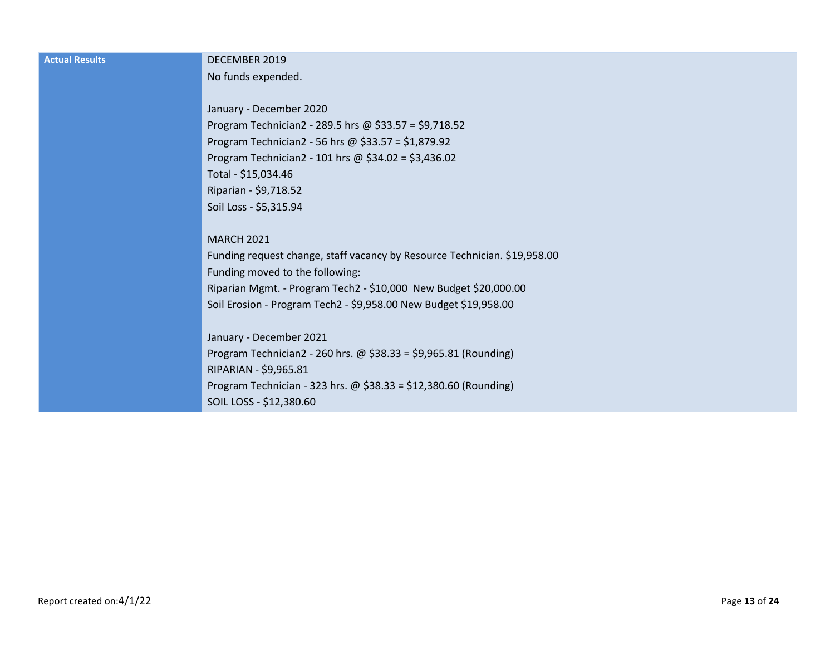| <b>Actual Results</b> | DECEMBER 2019                                                             |
|-----------------------|---------------------------------------------------------------------------|
|                       | No funds expended.                                                        |
|                       |                                                                           |
|                       | January - December 2020                                                   |
|                       | Program Technician2 - 289.5 hrs @ \$33.57 = \$9,718.52                    |
|                       | Program Technician2 - 56 hrs @ \$33.57 = \$1,879.92                       |
|                       | Program Technician2 - 101 hrs @ $$34.02 = $3,436.02$                      |
|                       | Total - \$15,034.46                                                       |
|                       | Riparian - \$9,718.52                                                     |
|                       | Soil Loss - \$5,315.94                                                    |
|                       |                                                                           |
|                       | <b>MARCH 2021</b>                                                         |
|                       | Funding request change, staff vacancy by Resource Technician. \$19,958.00 |
|                       | Funding moved to the following:                                           |
|                       | Riparian Mgmt. - Program Tech2 - \$10,000 New Budget \$20,000.00          |
|                       | Soil Erosion - Program Tech2 - \$9,958.00 New Budget \$19,958.00          |
|                       |                                                                           |
|                       | January - December 2021                                                   |
|                       | Program Technician2 - 260 hrs. @ $$38.33 = $9,965.81$ (Rounding)          |
|                       | RIPARIAN - \$9,965.81                                                     |
|                       | Program Technician - 323 hrs. @ \$38.33 = \$12,380.60 (Rounding)          |
|                       | SOIL LOSS - \$12,380.60                                                   |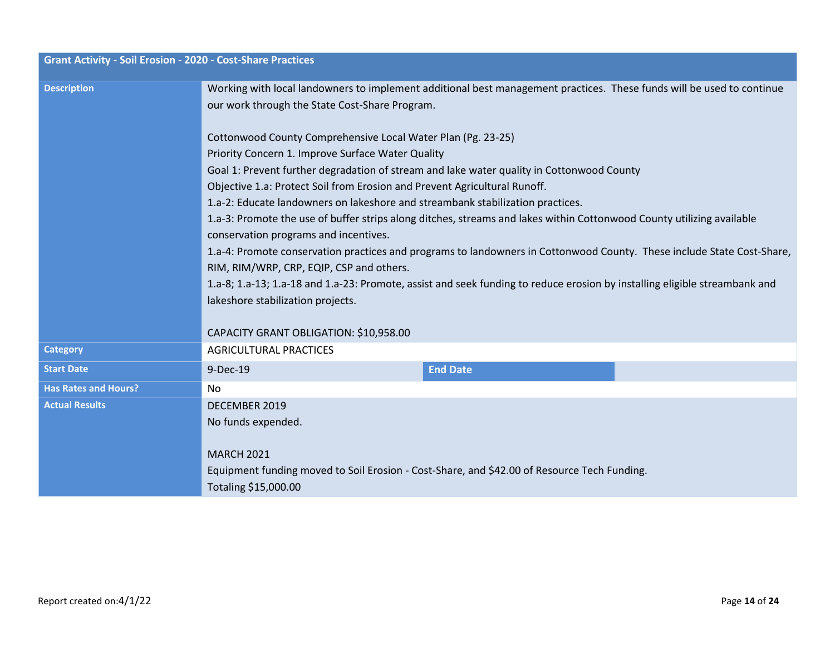| <b>Grant Activity - Soil Erosion - 2020 - Cost-Share Practices</b> |                                                                                                                                                                |                 |  |
|--------------------------------------------------------------------|----------------------------------------------------------------------------------------------------------------------------------------------------------------|-----------------|--|
| <b>Description</b>                                                 | Working with local landowners to implement additional best management practices. These funds will be used to continue                                          |                 |  |
|                                                                    | our work through the State Cost-Share Program.                                                                                                                 |                 |  |
|                                                                    | Cottonwood County Comprehensive Local Water Plan (Pg. 23-25)                                                                                                   |                 |  |
|                                                                    | Priority Concern 1. Improve Surface Water Quality                                                                                                              |                 |  |
|                                                                    | Goal 1: Prevent further degradation of stream and lake water quality in Cottonwood County                                                                      |                 |  |
|                                                                    | Objective 1.a: Protect Soil from Erosion and Prevent Agricultural Runoff.                                                                                      |                 |  |
|                                                                    | 1.a-2: Educate landowners on lakeshore and streambank stabilization practices.                                                                                 |                 |  |
|                                                                    | 1.a-3: Promote the use of buffer strips along ditches, streams and lakes within Cottonwood County utilizing available<br>conservation programs and incentives. |                 |  |
|                                                                    | 1.a-4: Promote conservation practices and programs to landowners in Cottonwood County. These include State Cost-Share,                                         |                 |  |
|                                                                    | RIM, RIM/WRP, CRP, EQIP, CSP and others.                                                                                                                       |                 |  |
|                                                                    | 1.a-8; 1.a-13; 1.a-18 and 1.a-23: Promote, assist and seek funding to reduce erosion by installing eligible streambank and                                     |                 |  |
|                                                                    | lakeshore stabilization projects.                                                                                                                              |                 |  |
|                                                                    |                                                                                                                                                                |                 |  |
|                                                                    | CAPACITY GRANT OBLIGATION: \$10,958.00                                                                                                                         |                 |  |
| <b>Category</b>                                                    | <b>AGRICULTURAL PRACTICES</b>                                                                                                                                  |                 |  |
| <b>Start Date</b>                                                  | 9-Dec-19                                                                                                                                                       | <b>End Date</b> |  |
| <b>Has Rates and Hours?</b>                                        | No.                                                                                                                                                            |                 |  |
| <b>Actual Results</b>                                              | DECEMBER 2019                                                                                                                                                  |                 |  |
|                                                                    | No funds expended.                                                                                                                                             |                 |  |
|                                                                    |                                                                                                                                                                |                 |  |
|                                                                    | <b>MARCH 2021</b>                                                                                                                                              |                 |  |
|                                                                    | Equipment funding moved to Soil Erosion - Cost-Share, and \$42.00 of Resource Tech Funding.                                                                    |                 |  |
|                                                                    | Totaling \$15,000.00                                                                                                                                           |                 |  |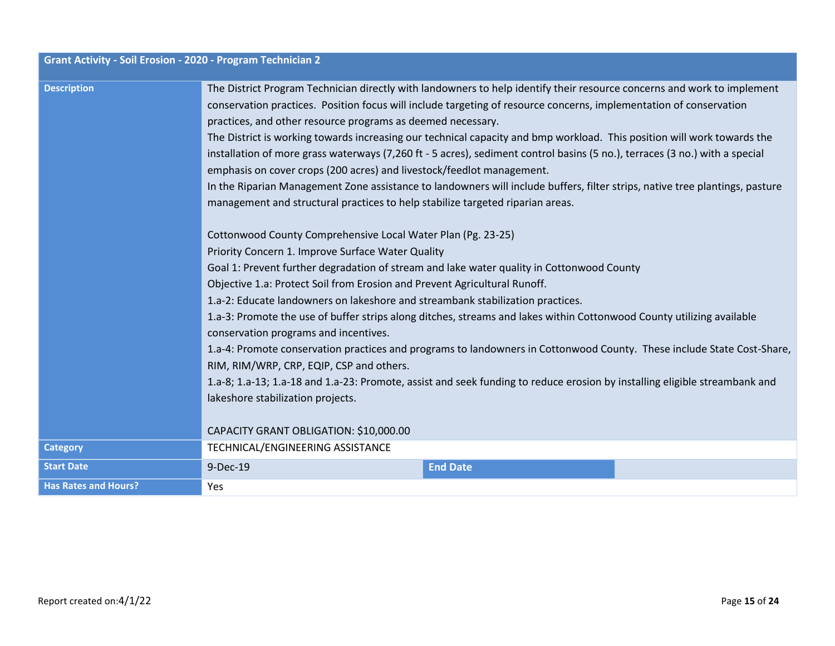| <b>Grant Activity - Soil Erosion - 2020 - Program Technician 2</b> |                                                                                                                                                                                                                                                                                                                                                                                                                                                                                                                                                                                                                                                                                                                                                                                                                                                                                                                                                                                                                                                                                     |                 |  |
|--------------------------------------------------------------------|-------------------------------------------------------------------------------------------------------------------------------------------------------------------------------------------------------------------------------------------------------------------------------------------------------------------------------------------------------------------------------------------------------------------------------------------------------------------------------------------------------------------------------------------------------------------------------------------------------------------------------------------------------------------------------------------------------------------------------------------------------------------------------------------------------------------------------------------------------------------------------------------------------------------------------------------------------------------------------------------------------------------------------------------------------------------------------------|-----------------|--|
| <b>Description</b>                                                 | The District Program Technician directly with landowners to help identify their resource concerns and work to implement<br>conservation practices. Position focus will include targeting of resource concerns, implementation of conservation<br>practices, and other resource programs as deemed necessary.<br>The District is working towards increasing our technical capacity and bmp workload. This position will work towards the<br>installation of more grass waterways (7,260 ft - 5 acres), sediment control basins (5 no.), terraces (3 no.) with a special<br>emphasis on cover crops (200 acres) and livestock/feedlot management.<br>In the Riparian Management Zone assistance to landowners will include buffers, filter strips, native tree plantings, pasture<br>management and structural practices to help stabilize targeted riparian areas.<br>Cottonwood County Comprehensive Local Water Plan (Pg. 23-25)<br>Priority Concern 1. Improve Surface Water Quality<br>Goal 1: Prevent further degradation of stream and lake water quality in Cottonwood County |                 |  |
|                                                                    | Objective 1.a: Protect Soil from Erosion and Prevent Agricultural Runoff.<br>1.a-2: Educate landowners on lakeshore and streambank stabilization practices.                                                                                                                                                                                                                                                                                                                                                                                                                                                                                                                                                                                                                                                                                                                                                                                                                                                                                                                         |                 |  |
|                                                                    | 1.a-3: Promote the use of buffer strips along ditches, streams and lakes within Cottonwood County utilizing available<br>conservation programs and incentives.<br>1.a-4: Promote conservation practices and programs to landowners in Cottonwood County. These include State Cost-Share,<br>RIM, RIM/WRP, CRP, EQIP, CSP and others.                                                                                                                                                                                                                                                                                                                                                                                                                                                                                                                                                                                                                                                                                                                                                |                 |  |
|                                                                    | 1.a-8; 1.a-13; 1.a-18 and 1.a-23: Promote, assist and seek funding to reduce erosion by installing eligible streambank and<br>lakeshore stabilization projects.                                                                                                                                                                                                                                                                                                                                                                                                                                                                                                                                                                                                                                                                                                                                                                                                                                                                                                                     |                 |  |
|                                                                    | CAPACITY GRANT OBLIGATION: \$10,000.00                                                                                                                                                                                                                                                                                                                                                                                                                                                                                                                                                                                                                                                                                                                                                                                                                                                                                                                                                                                                                                              |                 |  |
| <b>Category</b>                                                    | TECHNICAL/ENGINEERING ASSISTANCE                                                                                                                                                                                                                                                                                                                                                                                                                                                                                                                                                                                                                                                                                                                                                                                                                                                                                                                                                                                                                                                    |                 |  |
| <b>Start Date</b>                                                  | 9-Dec-19                                                                                                                                                                                                                                                                                                                                                                                                                                                                                                                                                                                                                                                                                                                                                                                                                                                                                                                                                                                                                                                                            | <b>End Date</b> |  |
| <b>Has Rates and Hours?</b>                                        | Yes                                                                                                                                                                                                                                                                                                                                                                                                                                                                                                                                                                                                                                                                                                                                                                                                                                                                                                                                                                                                                                                                                 |                 |  |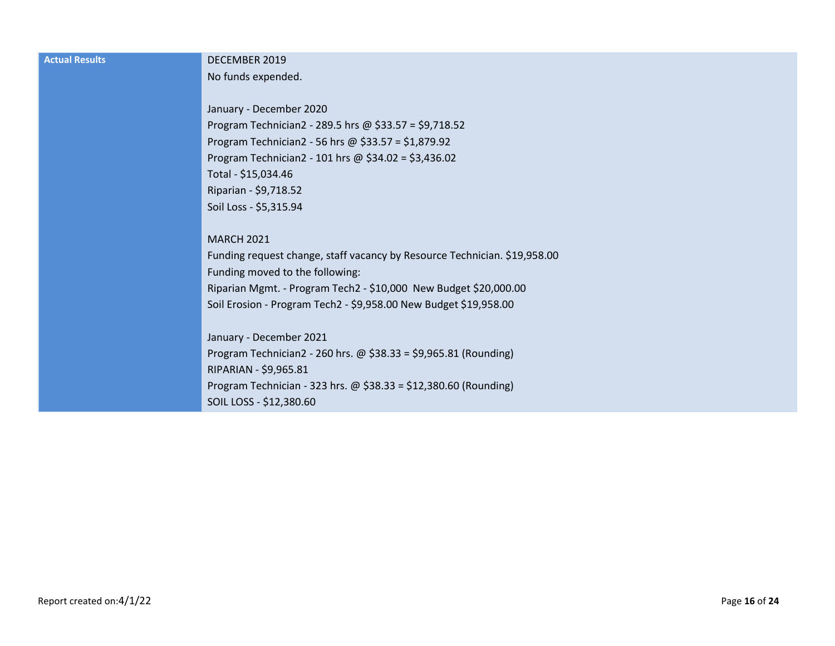| <b>Actual Results</b> | DECEMBER 2019                                                             |
|-----------------------|---------------------------------------------------------------------------|
|                       | No funds expended.                                                        |
|                       |                                                                           |
|                       | January - December 2020                                                   |
|                       | Program Technician2 - 289.5 hrs @ \$33.57 = \$9,718.52                    |
|                       | Program Technician2 - 56 hrs @ $$33.57 = $1,879.92$                       |
|                       | Program Technician2 - 101 hrs @ $$34.02 = $3,436.02$                      |
|                       | Total - \$15,034.46                                                       |
|                       | Riparian - \$9,718.52                                                     |
|                       | Soil Loss - \$5,315.94                                                    |
|                       |                                                                           |
|                       | <b>MARCH 2021</b>                                                         |
|                       | Funding request change, staff vacancy by Resource Technician. \$19,958.00 |
|                       | Funding moved to the following:                                           |
|                       | Riparian Mgmt. - Program Tech2 - \$10,000 New Budget \$20,000.00          |
|                       | Soil Erosion - Program Tech2 - \$9,958.00 New Budget \$19,958.00          |
|                       |                                                                           |
|                       | January - December 2021                                                   |
|                       | Program Technician2 - 260 hrs. $\omega$ \$38.33 = \$9,965.81 (Rounding)   |
|                       | RIPARIAN - \$9,965.81                                                     |
|                       | Program Technician - 323 hrs. @ $$38.33 = $12,380.60$ (Rounding)          |
|                       | SOIL LOSS - \$12,380.60                                                   |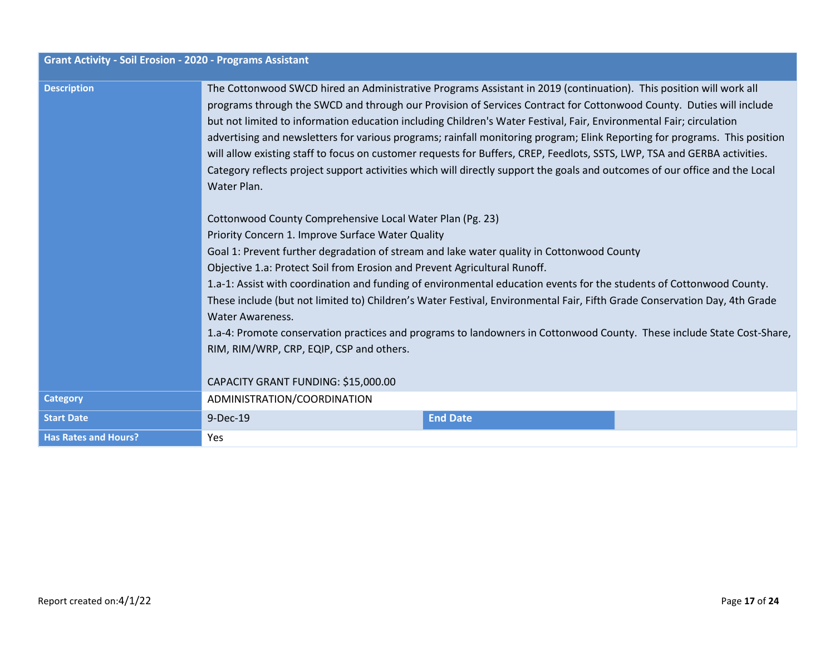| <b>Grant Activity - Soil Erosion - 2020 - Programs Assistant</b> |                                                                                                                                                                                                                                                                                                                                                                                                                                                                                                                                                                                                                                                                                                                                                                                                                                                                                                                                                                                                                                                                                                                                                                                                                                                                                                                                                                                                                                                                                                                             |                 |  |
|------------------------------------------------------------------|-----------------------------------------------------------------------------------------------------------------------------------------------------------------------------------------------------------------------------------------------------------------------------------------------------------------------------------------------------------------------------------------------------------------------------------------------------------------------------------------------------------------------------------------------------------------------------------------------------------------------------------------------------------------------------------------------------------------------------------------------------------------------------------------------------------------------------------------------------------------------------------------------------------------------------------------------------------------------------------------------------------------------------------------------------------------------------------------------------------------------------------------------------------------------------------------------------------------------------------------------------------------------------------------------------------------------------------------------------------------------------------------------------------------------------------------------------------------------------------------------------------------------------|-----------------|--|
| <b>Description</b>                                               | The Cottonwood SWCD hired an Administrative Programs Assistant in 2019 (continuation). This position will work all<br>programs through the SWCD and through our Provision of Services Contract for Cottonwood County. Duties will include<br>but not limited to information education including Children's Water Festival, Fair, Environmental Fair; circulation<br>advertising and newsletters for various programs; rainfall monitoring program; Elink Reporting for programs. This position<br>will allow existing staff to focus on customer requests for Buffers, CREP, Feedlots, SSTS, LWP, TSA and GERBA activities.<br>Category reflects project support activities which will directly support the goals and outcomes of our office and the Local<br>Water Plan.<br>Cottonwood County Comprehensive Local Water Plan (Pg. 23)<br>Priority Concern 1. Improve Surface Water Quality<br>Goal 1: Prevent further degradation of stream and lake water quality in Cottonwood County<br>Objective 1.a: Protect Soil from Erosion and Prevent Agricultural Runoff.<br>1.a-1: Assist with coordination and funding of environmental education events for the students of Cottonwood County.<br>These include (but not limited to) Children's Water Festival, Environmental Fair, Fifth Grade Conservation Day, 4th Grade<br><b>Water Awareness.</b><br>1.a-4: Promote conservation practices and programs to landowners in Cottonwood County. These include State Cost-Share,<br>RIM, RIM/WRP, CRP, EQIP, CSP and others. |                 |  |
|                                                                  | CAPACITY GRANT FUNDING: \$15,000.00                                                                                                                                                                                                                                                                                                                                                                                                                                                                                                                                                                                                                                                                                                                                                                                                                                                                                                                                                                                                                                                                                                                                                                                                                                                                                                                                                                                                                                                                                         |                 |  |
| <b>Category</b>                                                  | ADMINISTRATION/COORDINATION                                                                                                                                                                                                                                                                                                                                                                                                                                                                                                                                                                                                                                                                                                                                                                                                                                                                                                                                                                                                                                                                                                                                                                                                                                                                                                                                                                                                                                                                                                 |                 |  |
| <b>Start Date</b>                                                | 9-Dec-19                                                                                                                                                                                                                                                                                                                                                                                                                                                                                                                                                                                                                                                                                                                                                                                                                                                                                                                                                                                                                                                                                                                                                                                                                                                                                                                                                                                                                                                                                                                    | <b>End Date</b> |  |
| <b>Has Rates and Hours?</b>                                      | <b>Yes</b>                                                                                                                                                                                                                                                                                                                                                                                                                                                                                                                                                                                                                                                                                                                                                                                                                                                                                                                                                                                                                                                                                                                                                                                                                                                                                                                                                                                                                                                                                                                  |                 |  |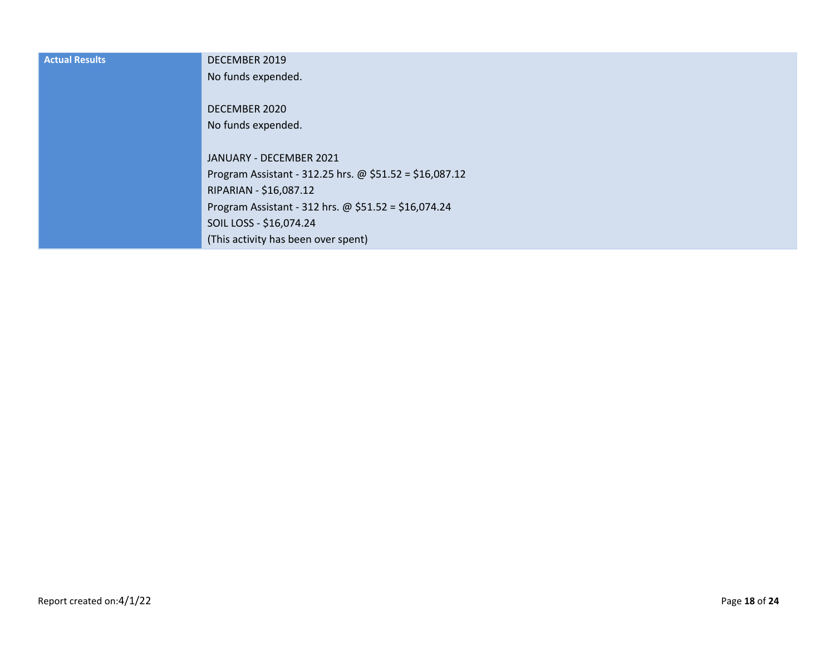| <b>Actual Results</b> | DECEMBER 2019                                           |
|-----------------------|---------------------------------------------------------|
|                       | No funds expended.                                      |
|                       | DECEMBER 2020                                           |
|                       | No funds expended.                                      |
|                       | JANUARY - DECEMBER 2021                                 |
|                       | Program Assistant - 312.25 hrs. @ \$51.52 = \$16,087.12 |
|                       | RIPARIAN - \$16,087.12                                  |
|                       | Program Assistant - 312 hrs. @ $$51.52 = $16,074.24$    |
|                       | SOIL LOSS - \$16,074.24                                 |
|                       | (This activity has been over spent)                     |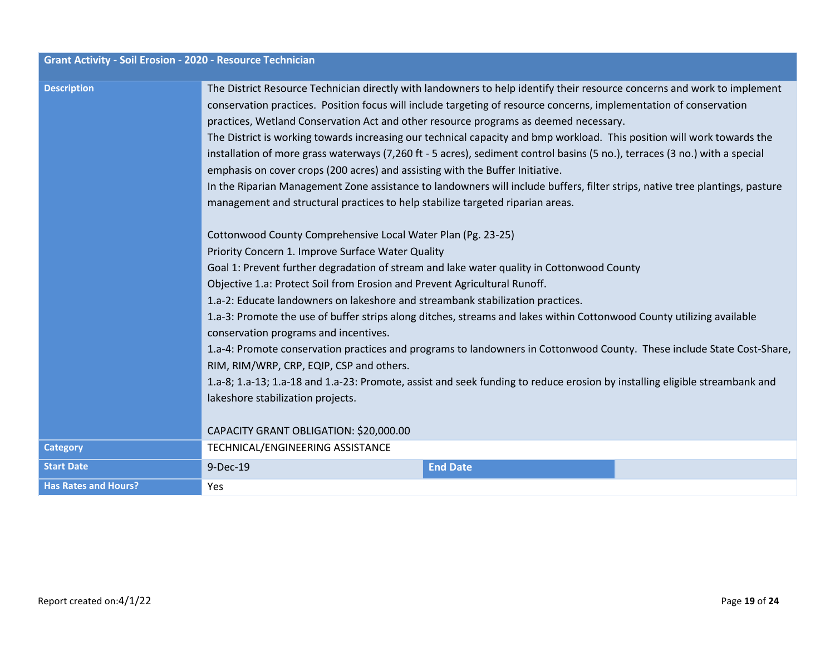| <b>Grant Activity - Soil Erosion - 2020 - Resource Technician</b> |                                                                                                                                                                                                                                                                                                                                                                                                                                                                                                                                                                                                                                                                                                                                                                                                                                                                                                                                                                                                                                                                                                                                                                                                                                                                                                                                                                                                                                                                                                                                                                                                                                                                                                                                                                                                                                           |                 |  |
|-------------------------------------------------------------------|-------------------------------------------------------------------------------------------------------------------------------------------------------------------------------------------------------------------------------------------------------------------------------------------------------------------------------------------------------------------------------------------------------------------------------------------------------------------------------------------------------------------------------------------------------------------------------------------------------------------------------------------------------------------------------------------------------------------------------------------------------------------------------------------------------------------------------------------------------------------------------------------------------------------------------------------------------------------------------------------------------------------------------------------------------------------------------------------------------------------------------------------------------------------------------------------------------------------------------------------------------------------------------------------------------------------------------------------------------------------------------------------------------------------------------------------------------------------------------------------------------------------------------------------------------------------------------------------------------------------------------------------------------------------------------------------------------------------------------------------------------------------------------------------------------------------------------------------|-----------------|--|
| <b>Description</b>                                                | The District Resource Technician directly with landowners to help identify their resource concerns and work to implement<br>conservation practices. Position focus will include targeting of resource concerns, implementation of conservation<br>practices, Wetland Conservation Act and other resource programs as deemed necessary.<br>The District is working towards increasing our technical capacity and bmp workload. This position will work towards the<br>installation of more grass waterways (7,260 ft - 5 acres), sediment control basins (5 no.), terraces (3 no.) with a special<br>emphasis on cover crops (200 acres) and assisting with the Buffer Initiative.<br>In the Riparian Management Zone assistance to landowners will include buffers, filter strips, native tree plantings, pasture<br>management and structural practices to help stabilize targeted riparian areas.<br>Cottonwood County Comprehensive Local Water Plan (Pg. 23-25)<br>Priority Concern 1. Improve Surface Water Quality<br>Goal 1: Prevent further degradation of stream and lake water quality in Cottonwood County<br>Objective 1.a: Protect Soil from Erosion and Prevent Agricultural Runoff.<br>1.a-2: Educate landowners on lakeshore and streambank stabilization practices.<br>1.a-3: Promote the use of buffer strips along ditches, streams and lakes within Cottonwood County utilizing available<br>conservation programs and incentives.<br>1.a-4: Promote conservation practices and programs to landowners in Cottonwood County. These include State Cost-Share,<br>RIM, RIM/WRP, CRP, EQIP, CSP and others.<br>1.a-8; 1.a-13; 1.a-18 and 1.a-23: Promote, assist and seek funding to reduce erosion by installing eligible streambank and<br>lakeshore stabilization projects.<br>CAPACITY GRANT OBLIGATION: \$20,000.00 |                 |  |
| <b>Category</b>                                                   | TECHNICAL/ENGINEERING ASSISTANCE                                                                                                                                                                                                                                                                                                                                                                                                                                                                                                                                                                                                                                                                                                                                                                                                                                                                                                                                                                                                                                                                                                                                                                                                                                                                                                                                                                                                                                                                                                                                                                                                                                                                                                                                                                                                          |                 |  |
| <b>Start Date</b>                                                 | 9-Dec-19                                                                                                                                                                                                                                                                                                                                                                                                                                                                                                                                                                                                                                                                                                                                                                                                                                                                                                                                                                                                                                                                                                                                                                                                                                                                                                                                                                                                                                                                                                                                                                                                                                                                                                                                                                                                                                  | <b>End Date</b> |  |
| <b>Has Rates and Hours?</b>                                       | Yes                                                                                                                                                                                                                                                                                                                                                                                                                                                                                                                                                                                                                                                                                                                                                                                                                                                                                                                                                                                                                                                                                                                                                                                                                                                                                                                                                                                                                                                                                                                                                                                                                                                                                                                                                                                                                                       |                 |  |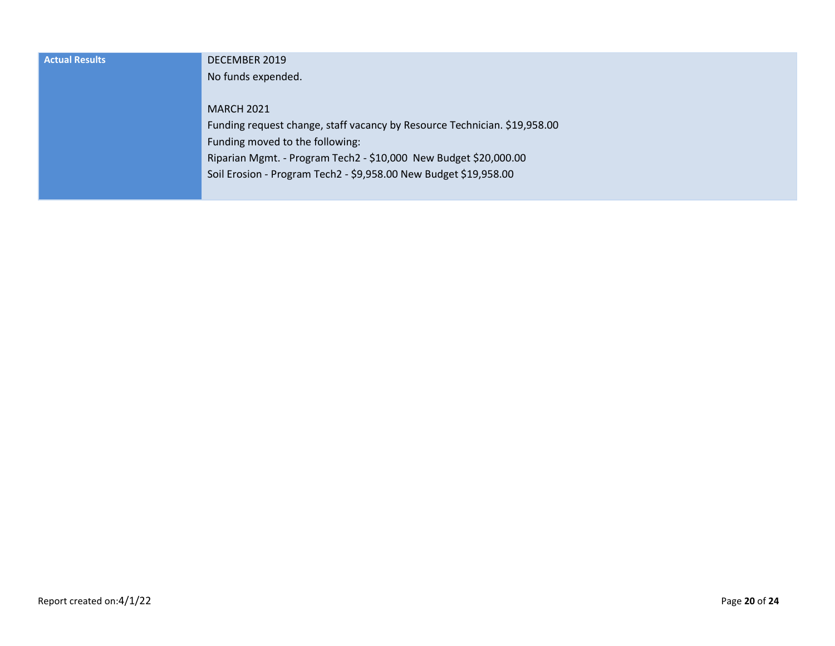| <b>Actual Results</b> | DECEMBER 2019                                                             |  |
|-----------------------|---------------------------------------------------------------------------|--|
|                       | No funds expended.                                                        |  |
|                       |                                                                           |  |
|                       | <b>MARCH 2021</b>                                                         |  |
|                       | Funding request change, staff vacancy by Resource Technician. \$19,958.00 |  |
|                       | Funding moved to the following:                                           |  |
|                       | Riparian Mgmt. - Program Tech2 - \$10,000 New Budget \$20,000.00          |  |
|                       | Soil Erosion - Program Tech2 - \$9,958.00 New Budget \$19,958.00          |  |
|                       |                                                                           |  |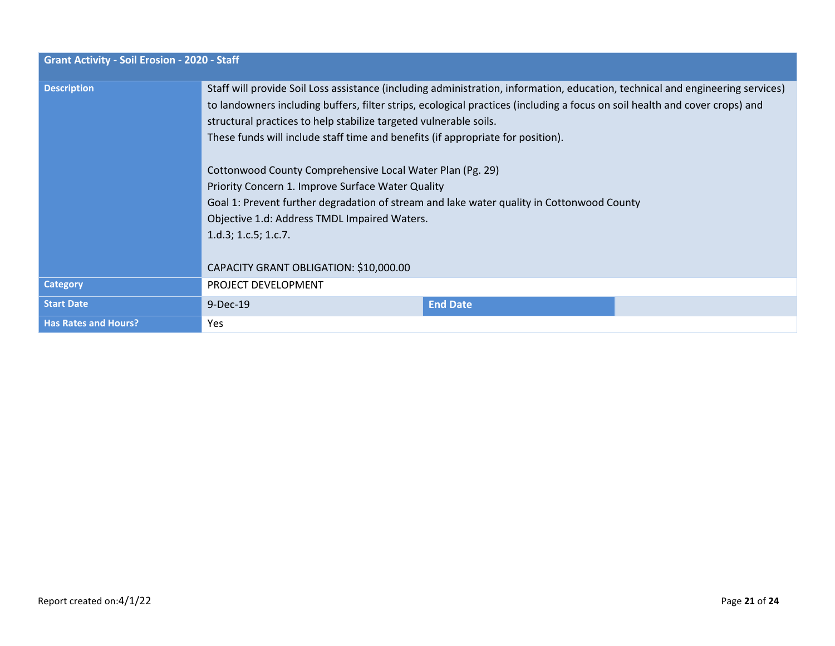| <b>Grant Activity - Soil Erosion - 2020 - Staff</b> |                                                                                                                                                                                                                                                                                                                                                                                                                                                                                                                                                                                                                                                                                                                                                        |                 |  |
|-----------------------------------------------------|--------------------------------------------------------------------------------------------------------------------------------------------------------------------------------------------------------------------------------------------------------------------------------------------------------------------------------------------------------------------------------------------------------------------------------------------------------------------------------------------------------------------------------------------------------------------------------------------------------------------------------------------------------------------------------------------------------------------------------------------------------|-----------------|--|
| <b>Description</b>                                  | Staff will provide Soil Loss assistance (including administration, information, education, technical and engineering services)<br>to landowners including buffers, filter strips, ecological practices (including a focus on soil health and cover crops) and<br>structural practices to help stabilize targeted vulnerable soils.<br>These funds will include staff time and benefits (if appropriate for position).<br>Cottonwood County Comprehensive Local Water Plan (Pg. 29)<br>Priority Concern 1. Improve Surface Water Quality<br>Goal 1: Prevent further degradation of stream and lake water quality in Cottonwood County<br>Objective 1.d: Address TMDL Impaired Waters.<br>1.d.3; 1.c.5; 1.c.7.<br>CAPACITY GRANT OBLIGATION: \$10,000.00 |                 |  |
| <b>Category</b>                                     | PROJECT DEVELOPMENT                                                                                                                                                                                                                                                                                                                                                                                                                                                                                                                                                                                                                                                                                                                                    |                 |  |
| <b>Start Date</b>                                   | 9-Dec-19                                                                                                                                                                                                                                                                                                                                                                                                                                                                                                                                                                                                                                                                                                                                               | <b>End Date</b> |  |
| <b>Has Rates and Hours?</b>                         | Yes                                                                                                                                                                                                                                                                                                                                                                                                                                                                                                                                                                                                                                                                                                                                                    |                 |  |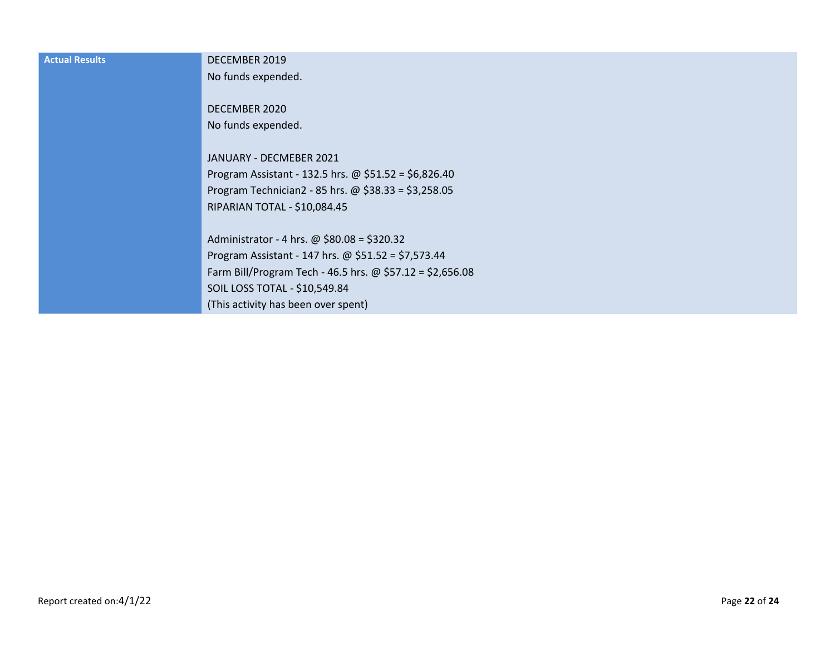| <b>Actual Results</b> | DECEMBER 2019                                             |
|-----------------------|-----------------------------------------------------------|
|                       | No funds expended.                                        |
|                       |                                                           |
|                       | DECEMBER 2020                                             |
|                       | No funds expended.                                        |
|                       |                                                           |
|                       | JANUARY - DECMEBER 2021                                   |
|                       | Program Assistant - 132.5 hrs. @ $$51.52 = $6,826.40$     |
|                       | Program Technician2 - 85 hrs. @ $$38.33 = $3,258.05$      |
|                       | RIPARIAN TOTAL - \$10,084.45                              |
|                       |                                                           |
|                       | Administrator - 4 hrs. @ \$80.08 = \$320.32               |
|                       | Program Assistant - 147 hrs. @ $$51.52 = $7,573.44$       |
|                       | Farm Bill/Program Tech - 46.5 hrs. @ \$57.12 = \$2,656.08 |
|                       | SOIL LOSS TOTAL - \$10,549.84                             |
|                       | (This activity has been over spent)                       |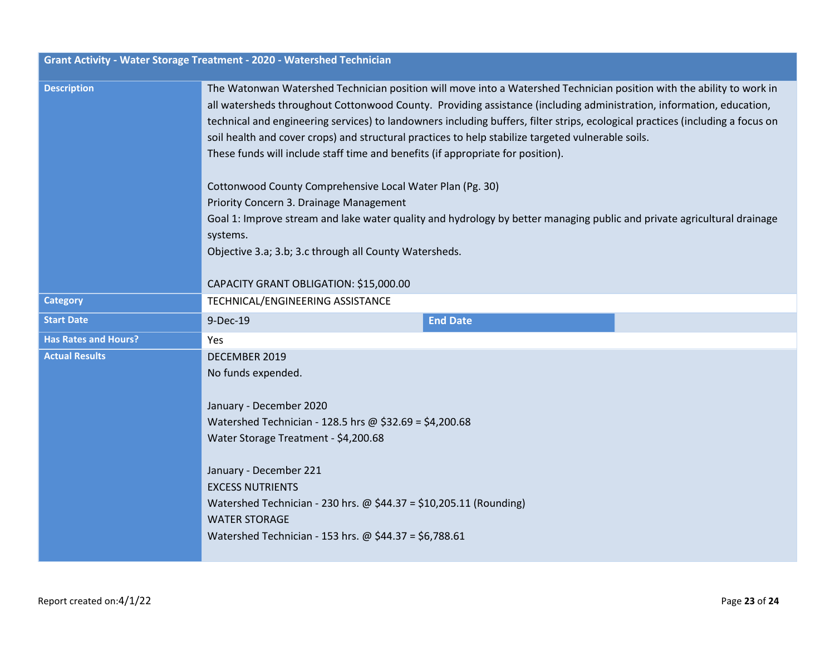| Grant Activity - Water Storage Treatment - 2020 - Watershed Technician |                                                                                                                                                                                                                                                                                                                                                                                                                                                                                                                                                                          |  |  |
|------------------------------------------------------------------------|--------------------------------------------------------------------------------------------------------------------------------------------------------------------------------------------------------------------------------------------------------------------------------------------------------------------------------------------------------------------------------------------------------------------------------------------------------------------------------------------------------------------------------------------------------------------------|--|--|
| <b>Description</b>                                                     | The Watonwan Watershed Technician position will move into a Watershed Technician position with the ability to work in<br>all watersheds throughout Cottonwood County. Providing assistance (including administration, information, education,<br>technical and engineering services) to landowners including buffers, filter strips, ecological practices (including a focus on<br>soil health and cover crops) and structural practices to help stabilize targeted vulnerable soils.<br>These funds will include staff time and benefits (if appropriate for position). |  |  |
|                                                                        | Cottonwood County Comprehensive Local Water Plan (Pg. 30)                                                                                                                                                                                                                                                                                                                                                                                                                                                                                                                |  |  |
|                                                                        | Priority Concern 3. Drainage Management                                                                                                                                                                                                                                                                                                                                                                                                                                                                                                                                  |  |  |
|                                                                        | Goal 1: Improve stream and lake water quality and hydrology by better managing public and private agricultural drainage                                                                                                                                                                                                                                                                                                                                                                                                                                                  |  |  |
|                                                                        | systems.                                                                                                                                                                                                                                                                                                                                                                                                                                                                                                                                                                 |  |  |
|                                                                        | Objective 3.a; 3.b; 3.c through all County Watersheds.                                                                                                                                                                                                                                                                                                                                                                                                                                                                                                                   |  |  |
|                                                                        | CAPACITY GRANT OBLIGATION: \$15,000.00                                                                                                                                                                                                                                                                                                                                                                                                                                                                                                                                   |  |  |
| <b>Category</b>                                                        | TECHNICAL/ENGINEERING ASSISTANCE                                                                                                                                                                                                                                                                                                                                                                                                                                                                                                                                         |  |  |
| <b>Start Date</b>                                                      | <b>End Date</b><br>9-Dec-19                                                                                                                                                                                                                                                                                                                                                                                                                                                                                                                                              |  |  |
| <b>Has Rates and Hours?</b>                                            | Yes                                                                                                                                                                                                                                                                                                                                                                                                                                                                                                                                                                      |  |  |
| <b>Actual Results</b>                                                  | DECEMBER 2019                                                                                                                                                                                                                                                                                                                                                                                                                                                                                                                                                            |  |  |
|                                                                        | No funds expended.                                                                                                                                                                                                                                                                                                                                                                                                                                                                                                                                                       |  |  |
|                                                                        |                                                                                                                                                                                                                                                                                                                                                                                                                                                                                                                                                                          |  |  |
|                                                                        | January - December 2020<br>Watershed Technician - 128.5 hrs @ \$32.69 = \$4,200.68                                                                                                                                                                                                                                                                                                                                                                                                                                                                                       |  |  |
|                                                                        | Water Storage Treatment - \$4,200.68                                                                                                                                                                                                                                                                                                                                                                                                                                                                                                                                     |  |  |
|                                                                        |                                                                                                                                                                                                                                                                                                                                                                                                                                                                                                                                                                          |  |  |
|                                                                        | January - December 221                                                                                                                                                                                                                                                                                                                                                                                                                                                                                                                                                   |  |  |
|                                                                        | <b>EXCESS NUTRIENTS</b>                                                                                                                                                                                                                                                                                                                                                                                                                                                                                                                                                  |  |  |
|                                                                        | Watershed Technician - 230 hrs. $\omega$ \$44.37 = \$10,205.11 (Rounding)                                                                                                                                                                                                                                                                                                                                                                                                                                                                                                |  |  |
|                                                                        | <b>WATER STORAGE</b>                                                                                                                                                                                                                                                                                                                                                                                                                                                                                                                                                     |  |  |
|                                                                        | Watershed Technician - 153 hrs. @ \$44.37 = \$6,788.61                                                                                                                                                                                                                                                                                                                                                                                                                                                                                                                   |  |  |
|                                                                        |                                                                                                                                                                                                                                                                                                                                                                                                                                                                                                                                                                          |  |  |